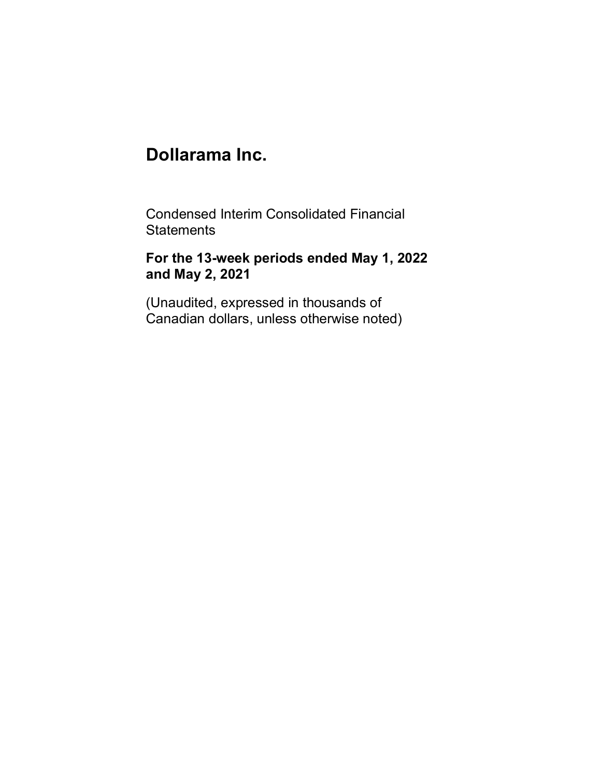Condensed Interim Consolidated Financial **Statements** 

# **For the 13-week periods ended May 1, 2022 and May 2, 2021**

(Unaudited, expressed in thousands of Canadian dollars, unless otherwise noted)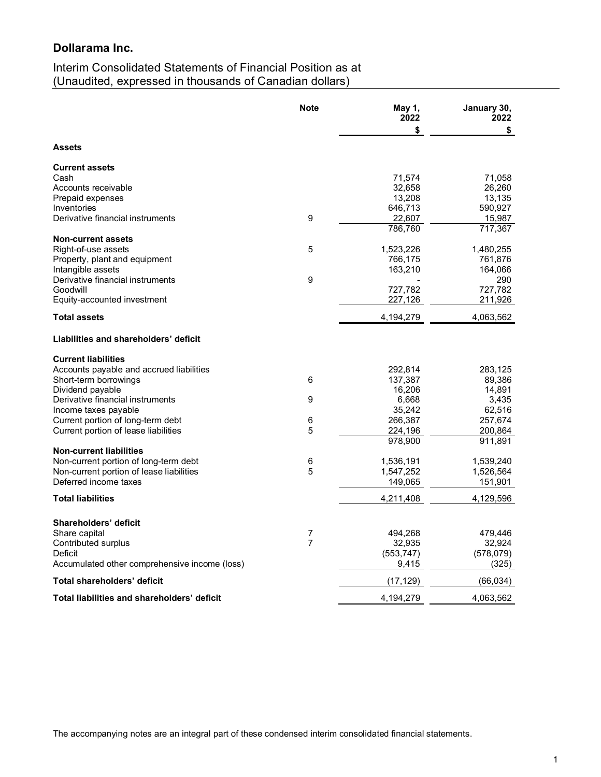### Interim Consolidated Statements of Financial Position as at (Unaudited, expressed in thousands of Canadian dollars)

|                                                                   | <b>Note</b>    | May 1,<br>2022 | January 30,<br>2022 |
|-------------------------------------------------------------------|----------------|----------------|---------------------|
|                                                                   |                | \$             | \$                  |
| <b>Assets</b>                                                     |                |                |                     |
| <b>Current assets</b>                                             |                |                |                     |
| Cash                                                              |                | 71,574         | 71,058              |
| Accounts receivable                                               |                | 32,658         | 26,260              |
| Prepaid expenses                                                  |                | 13,208         | 13,135              |
| Inventories                                                       |                | 646,713        | 590,927             |
| Derivative financial instruments                                  | 9              | 22,607         | 15,987              |
|                                                                   |                | 786,760        | 717,367             |
| <b>Non-current assets</b><br>Right-of-use assets                  | 5              | 1,523,226      | 1,480,255           |
| Property, plant and equipment                                     |                | 766,175        | 761,876             |
| Intangible assets                                                 |                | 163,210        | 164,066             |
| Derivative financial instruments                                  | 9              |                | 290                 |
| Goodwill                                                          |                | 727,782        | 727,782             |
| Equity-accounted investment                                       |                | 227,126        | 211,926             |
|                                                                   |                |                |                     |
| <b>Total assets</b>                                               |                | 4,194,279      | 4,063,562           |
| Liabilities and shareholders' deficit                             |                |                |                     |
| <b>Current liabilities</b>                                        |                |                |                     |
| Accounts payable and accrued liabilities                          |                | 292,814        | 283,125             |
| Short-term borrowings                                             | 6              | 137,387        | 89,386              |
| Dividend payable                                                  |                | 16,206         | 14,891              |
| Derivative financial instruments                                  | 9              | 6,668          | 3,435               |
| Income taxes payable                                              |                | 35,242         | 62,516              |
| Current portion of long-term debt                                 | 6              | 266,387        | 257,674             |
| Current portion of lease liabilities                              | 5              | 224,196        | 200,864             |
|                                                                   |                | 978,900        | 911,891             |
| <b>Non-current liabilities</b>                                    |                |                |                     |
| Non-current portion of long-term debt                             | 6<br>5         | 1,536,191      | 1,539,240           |
| Non-current portion of lease liabilities<br>Deferred income taxes |                | 1,547,252      | 1,526,564           |
|                                                                   |                | 149,065        | 151,901             |
| <b>Total liabilities</b>                                          |                | 4,211,408      | 4,129,596           |
| Shareholders' deficit                                             |                |                |                     |
| Share capital                                                     | 7              | 494,268        | 479,446             |
| Contributed surplus                                               | $\overline{7}$ | 32,935         | 32,924              |
| Deficit                                                           |                | (553, 747)     | (578, 079)          |
| Accumulated other comprehensive income (loss)                     |                | 9,415          | (325)               |
| Total shareholders' deficit                                       |                | (17, 129)      | (66,034)            |
| Total liabilities and shareholders' deficit                       |                | 4,194,279      | 4,063,562           |

The accompanying notes are an integral part of these condensed interim consolidated financial statements.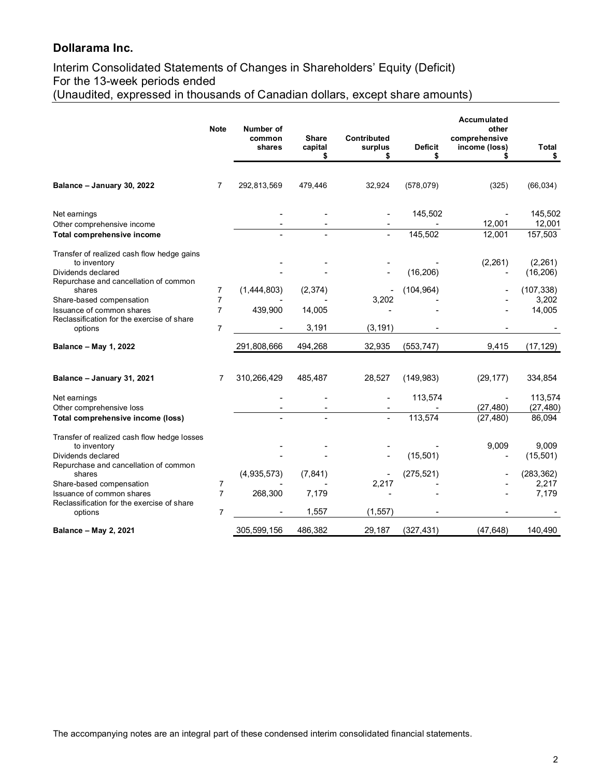### Interim Consolidated Statements of Changes in Shareholders' Equity (Deficit) For the 13-week periods ended (Unaudited, expressed in thousands of Canadian dollars, except share amounts)

|                                                                         | <b>Note</b>         | Number of<br>common<br>shares | <b>Share</b><br>capital<br>\$ | <b>Contributed</b><br>surplus | <b>Deficit</b><br>\$ | <b>Accumulated</b><br>other<br>comprehensive<br>income (loss) | <b>Total</b><br>\$   |
|-------------------------------------------------------------------------|---------------------|-------------------------------|-------------------------------|-------------------------------|----------------------|---------------------------------------------------------------|----------------------|
|                                                                         |                     |                               |                               |                               |                      |                                                               |                      |
| Balance - January 30, 2022                                              | 7                   | 292,813,569                   | 479,446                       | 32,924                        | (578,079)            | (325)                                                         | (66, 034)            |
| Net earnings                                                            |                     |                               |                               |                               | 145,502              |                                                               | 145,502              |
| Other comprehensive income                                              |                     |                               |                               |                               |                      | 12,001                                                        | 12,001               |
| Total comprehensive income                                              |                     |                               |                               |                               | 145,502              | 12,001                                                        | 157,503              |
| Transfer of realized cash flow hedge gains<br>to inventory              |                     |                               |                               |                               |                      | (2,261)                                                       | (2,261)              |
| Dividends declared                                                      |                     |                               |                               |                               | (16, 206)            |                                                               | (16, 206)            |
| Repurchase and cancellation of common                                   |                     |                               |                               |                               |                      |                                                               |                      |
| shares                                                                  | 7                   | (1,444,803)                   | (2,374)                       |                               | (104, 964)           |                                                               | (107, 338)           |
| Share-based compensation                                                | 7                   |                               |                               | 3,202                         |                      |                                                               | 3,202                |
| Issuance of common shares                                               | $\overline{7}$      | 439,900                       | 14,005                        |                               |                      |                                                               | 14,005               |
| Reclassification for the exercise of share<br>options                   | 7                   |                               | 3,191                         | (3, 191)                      |                      |                                                               |                      |
| Balance - May 1, 2022                                                   |                     | 291,808,666                   | 494,268                       | 32,935                        | (553, 747)           | 9,415                                                         | (17, 129)            |
| Balance - January 31, 2021                                              | 7                   | 310,266,429                   | 485,487                       | 28,527                        | (149, 983)           | (29, 177)                                                     | 334,854              |
|                                                                         |                     |                               |                               |                               |                      |                                                               |                      |
| Net earnings<br>Other comprehensive loss                                |                     |                               |                               |                               | 113,574              | (27, 480)                                                     | 113,574<br>(27, 480) |
| Total comprehensive income (loss)                                       |                     |                               |                               |                               | 113,574              | (27, 480)                                                     | 86,094               |
|                                                                         |                     |                               |                               |                               |                      |                                                               |                      |
| Transfer of realized cash flow hedge losses<br>to inventory             |                     |                               |                               |                               |                      | 9.009                                                         | 9.009                |
| Dividends declared                                                      |                     |                               |                               |                               | (15, 501)            |                                                               | (15,501)             |
| Repurchase and cancellation of common                                   |                     |                               |                               |                               |                      |                                                               |                      |
| shares                                                                  |                     | (4,935,573)                   | (7, 841)                      |                               | (275, 521)           |                                                               | (283, 362)           |
| Share-based compensation                                                | 7<br>$\overline{7}$ |                               |                               | 2,217                         |                      |                                                               | 2,217                |
| Issuance of common shares<br>Reclassification for the exercise of share |                     | 268,300                       | 7,179                         |                               |                      |                                                               | 7,179                |
| options                                                                 | 7                   |                               | 1,557                         | (1, 557)                      |                      |                                                               |                      |
| Balance - May 2, 2021                                                   |                     | 305,599,156                   | 486,382                       | 29,187                        | (327, 431)           | (47, 648)                                                     | 140,490              |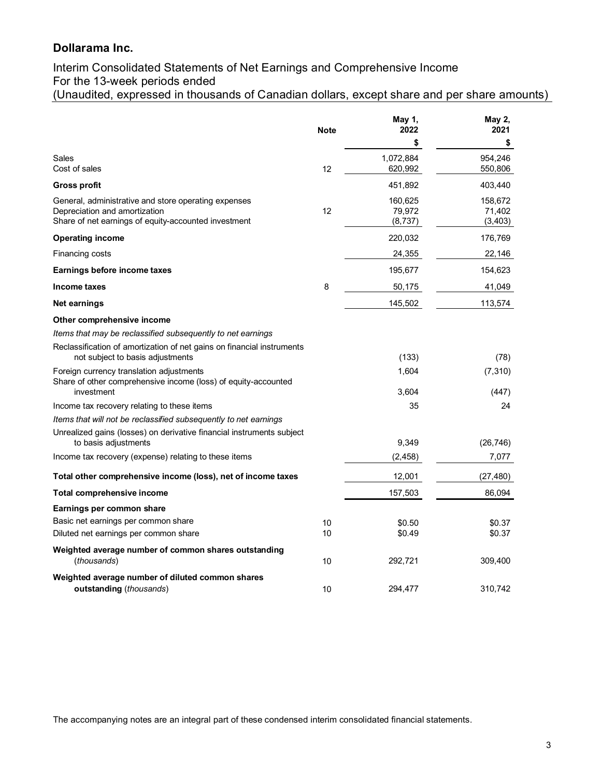# Interim Consolidated Statements of Net Earnings and Comprehensive Income For the 13-week periods ended

(Unaudited, expressed in thousands of Canadian dollars, except share and per share amounts)

|                                                                                                                                               | <b>Note</b> | May 1,<br>2022               | May 2,<br>2021                |
|-----------------------------------------------------------------------------------------------------------------------------------------------|-------------|------------------------------|-------------------------------|
|                                                                                                                                               |             | \$                           | \$                            |
| Sales<br>Cost of sales                                                                                                                        | 12          | 1,072,884<br>620,992         | 954,246<br>550,806            |
| Gross profit                                                                                                                                  |             | 451,892                      | 403,440                       |
| General, administrative and store operating expenses<br>Depreciation and amortization<br>Share of net earnings of equity-accounted investment | 12          | 160,625<br>79,972<br>(8,737) | 158,672<br>71,402<br>(3, 403) |
| <b>Operating income</b>                                                                                                                       |             | 220,032                      | 176,769                       |
| Financing costs                                                                                                                               |             | 24,355                       | 22,146                        |
| Earnings before income taxes                                                                                                                  |             | 195,677                      | 154,623                       |
| Income taxes                                                                                                                                  | 8           | 50,175                       | 41,049                        |
| Net earnings                                                                                                                                  |             | 145,502                      | 113,574                       |
| Other comprehensive income                                                                                                                    |             |                              |                               |
| Items that may be reclassified subsequently to net earnings                                                                                   |             |                              |                               |
| Reclassification of amortization of net gains on financial instruments<br>not subject to basis adjustments                                    |             | (133)                        | (78)                          |
| Foreign currency translation adjustments<br>Share of other comprehensive income (loss) of equity-accounted                                    |             | 1,604                        | (7,310)                       |
| investment                                                                                                                                    |             | 3,604                        | (447)                         |
| Income tax recovery relating to these items                                                                                                   |             | 35                           | 24                            |
| Items that will not be reclassified subsequently to net earnings                                                                              |             |                              |                               |
| Unrealized gains (losses) on derivative financial instruments subject<br>to basis adjustments                                                 |             | 9,349                        | (26, 746)                     |
| Income tax recovery (expense) relating to these items                                                                                         |             | (2, 458)                     | 7,077                         |
| Total other comprehensive income (loss), net of income taxes                                                                                  |             | 12,001                       | (27, 480)                     |
| Total comprehensive income                                                                                                                    |             | 157,503                      | 86,094                        |
| Earnings per common share                                                                                                                     |             |                              |                               |
| Basic net earnings per common share                                                                                                           | 10          | \$0.50                       | \$0.37                        |
| Diluted net earnings per common share                                                                                                         | 10          | \$0.49                       | \$0.37                        |
| Weighted average number of common shares outstanding<br>(thousands)                                                                           | 10          | 292,721                      | 309,400                       |
| Weighted average number of diluted common shares<br>outstanding (thousands)                                                                   | 10          | 294,477                      | 310,742                       |

The accompanying notes are an integral part of these condensed interim consolidated financial statements.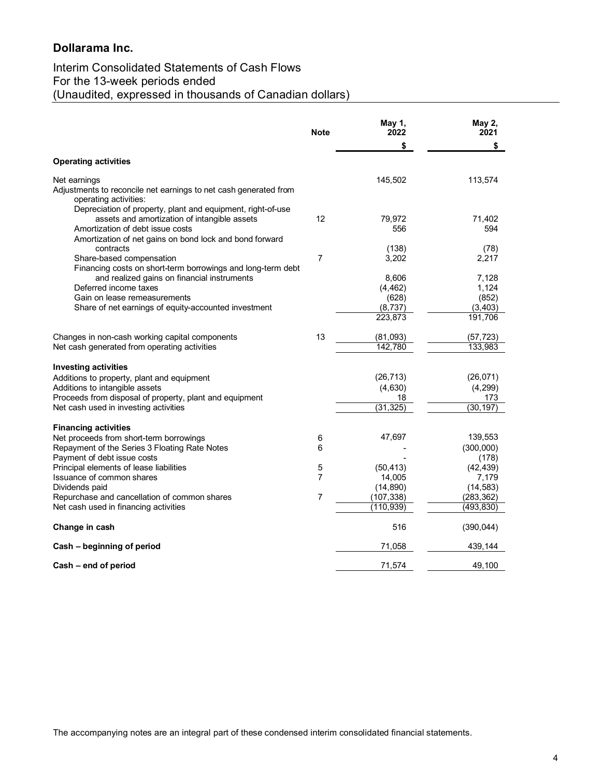### Interim Consolidated Statements of Cash Flows For the 13-week periods ended (Unaudited, expressed in thousands of Canadian dollars)

|                                                                                                             | <b>Note</b>    | May 1,<br>2022 | May 2,<br>2021 |
|-------------------------------------------------------------------------------------------------------------|----------------|----------------|----------------|
|                                                                                                             |                | \$             | \$             |
| <b>Operating activities</b>                                                                                 |                |                |                |
| Net earnings                                                                                                |                | 145,502        | 113,574        |
| Adjustments to reconcile net earnings to net cash generated from<br>operating activities:                   |                |                |                |
| Depreciation of property, plant and equipment, right-of-use<br>assets and amortization of intangible assets | 12             | 79,972         | 71,402         |
| Amortization of debt issue costs                                                                            |                | 556            | 594            |
| Amortization of net gains on bond lock and bond forward                                                     |                |                |                |
| contracts                                                                                                   |                | (138)          | (78)           |
| Share-based compensation                                                                                    | $\overline{7}$ | 3,202          | 2,217          |
| Financing costs on short-term borrowings and long-term debt<br>and realized gains on financial instruments  |                | 8,606          | 7,128          |
| Deferred income taxes                                                                                       |                | (4, 462)       | 1,124          |
| Gain on lease remeasurements                                                                                |                | (628)          | (852)          |
| Share of net earnings of equity-accounted investment                                                        |                | (8,737)        | (3,403)        |
|                                                                                                             |                | 223,873        | 191,706        |
| Changes in non-cash working capital components                                                              | 13             | (81,093)       | (57, 723)      |
| Net cash generated from operating activities                                                                |                | 142,780        | 133,983        |
| <b>Investing activities</b>                                                                                 |                |                |                |
| Additions to property, plant and equipment                                                                  |                | (26, 713)      | (26, 071)      |
| Additions to intangible assets                                                                              |                | (4,630)        | (4, 299)       |
| Proceeds from disposal of property, plant and equipment                                                     |                | 18             | 173            |
| Net cash used in investing activities                                                                       |                | (31, 325)      | (30, 197)      |
| <b>Financing activities</b>                                                                                 |                |                |                |
| Net proceeds from short-term borrowings                                                                     | 6              | 47,697         | 139,553        |
| Repayment of the Series 3 Floating Rate Notes                                                               | 6              |                | (300,000)      |
| Payment of debt issue costs                                                                                 |                |                | (178)          |
| Principal elements of lease liabilities                                                                     | 5              | (50, 413)      | (42, 439)      |
| Issuance of common shares                                                                                   | $\overline{7}$ | 14,005         | 7,179          |
| Dividends paid                                                                                              |                | (14, 890)      | (14, 583)      |
| Repurchase and cancellation of common shares                                                                | 7              | (107, 338)     | (283, 362)     |
| Net cash used in financing activities                                                                       |                | (110, 939)     | (493,830)      |
| Change in cash                                                                                              |                | 516            | (390, 044)     |
| Cash - beginning of period                                                                                  |                | 71,058         | 439,144        |
| Cash - end of period                                                                                        |                | 71,574         | 49,100         |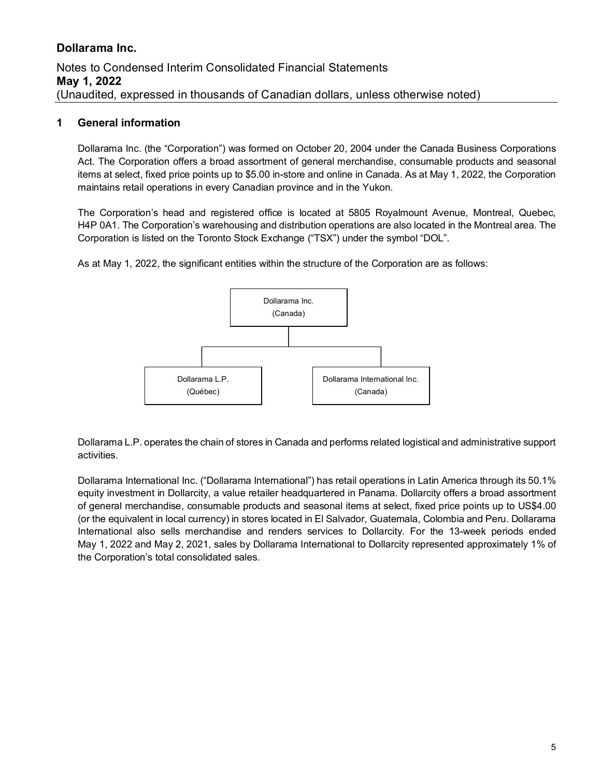### **1 General information**

Dollarama Inc. (the "Corporation") was formed on October 20, 2004 under the Canada Business Corporations Act. The Corporation offers a broad assortment of general merchandise, consumable products and seasonal items at select, fixed price points up to \$5.00 in-store and online in Canada. As at May 1, 2022, the Corporation maintains retail operations in every Canadian province and in the Yukon.

The Corporation's head and registered office is located at 5805 Royalmount Avenue, Montreal, Quebec, H4P 0A1. The Corporation's warehousing and distribution operations are also located in the Montreal area. The Corporation is listed on the Toronto Stock Exchange ("TSX") under the symbol "DOL".

As at May 1, 2022, the significant entities within the structure of the Corporation are as follows:



Dollarama L.P. operates the chain of stores in Canada and performs related logistical and administrative support activities.

Dollarama International Inc. ("Dollarama International") has retail operations in Latin America through its 50.1% equity investment in Dollarcity, a value retailer headquartered in Panama. Dollarcity offers a broad assortment of general merchandise, consumable products and seasonal items at select, fixed price points up to US\$4.00 (or the equivalent in local currency) in stores located in El Salvador, Guatemala, Colombia and Peru. Dollarama International also sells merchandise and renders services to Dollarcity. For the 13-week periods ended May 1, 2022 and May 2, 2021, sales by Dollarama International to Dollarcity represented approximately 1% of the Corporation's total consolidated sales.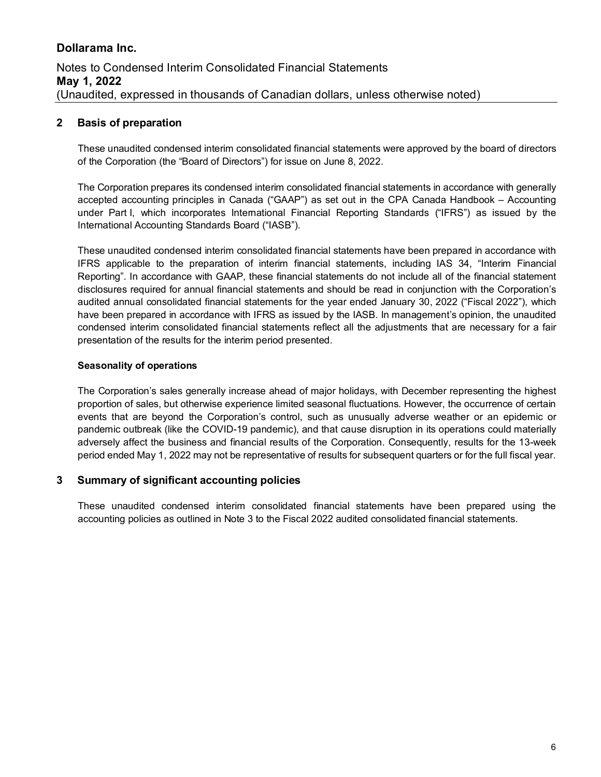### **2 Basis of preparation**

These unaudited condensed interim consolidated financial statements were approved by the board of directors of the Corporation (the "Board of Directors") for issue on June 8, 2022.

The Corporation prepares its condensed interim consolidated financial statements in accordance with generally accepted accounting principles in Canada ("GAAP") as set out in the CPA Canada Handbook – Accounting under Part I, which incorporates International Financial Reporting Standards ("IFRS") as issued by the International Accounting Standards Board ("IASB").

These unaudited condensed interim consolidated financial statements have been prepared in accordance with IFRS applicable to the preparation of interim financial statements, including IAS 34, "Interim Financial Reporting". In accordance with GAAP, these financial statements do not include all of the financial statement disclosures required for annual financial statements and should be read in conjunction with the Corporation's audited annual consolidated financial statements for the year ended January 30, 2022 ("Fiscal 2022"), which have been prepared in accordance with IFRS as issued by the IASB. In management's opinion, the unaudited condensed interim consolidated financial statements reflect all the adjustments that are necessary for a fair presentation of the results for the interim period presented.

#### **Seasonality of operations**

The Corporation's sales generally increase ahead of major holidays, with December representing the highest proportion of sales, but otherwise experience limited seasonal fluctuations. However, the occurrence of certain events that are beyond the Corporation's control, such as unusually adverse weather or an epidemic or pandemic outbreak (like the COVID-19 pandemic), and that cause disruption in its operations could materially adversely affect the business and financial results of the Corporation. Consequently, results for the 13-week period ended May 1, 2022 may not be representative of results for subsequent quarters or for the full fiscal year.

### **3 Summary of significant accounting policies**

These unaudited condensed interim consolidated financial statements have been prepared using the accounting policies as outlined in Note 3 to the Fiscal 2022 audited consolidated financial statements.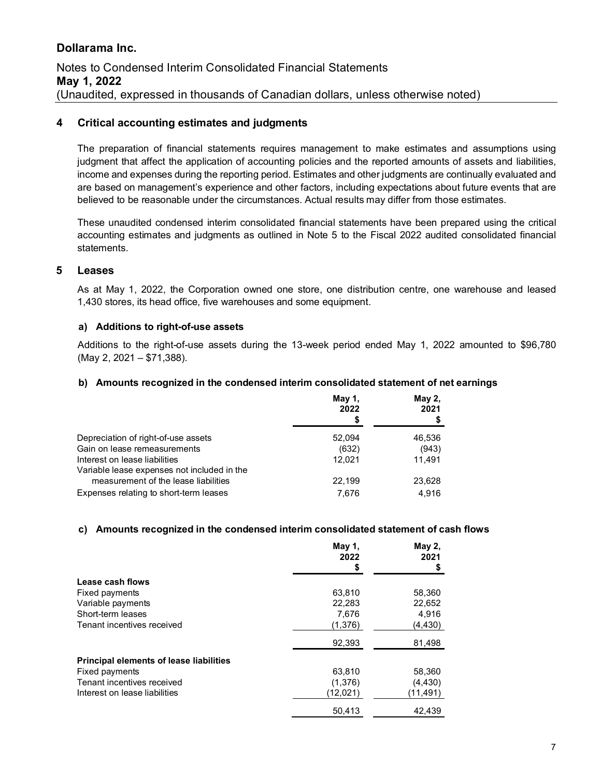### **4 Critical accounting estimates and judgments**

The preparation of financial statements requires management to make estimates and assumptions using judgment that affect the application of accounting policies and the reported amounts of assets and liabilities, income and expenses during the reporting period. Estimates and other judgments are continually evaluated and are based on management's experience and other factors, including expectations about future events that are believed to be reasonable under the circumstances. Actual results may differ from those estimates.

These unaudited condensed interim consolidated financial statements have been prepared using the critical accounting estimates and judgments as outlined in Note 5 to the Fiscal 2022 audited consolidated financial statements.

### **5 Leases**

As at May 1, 2022, the Corporation owned one store, one distribution centre, one warehouse and leased 1,430 stores, its head office, five warehouses and some equipment.

#### **a) Additions to right-of-use assets**

Additions to the right-of-use assets during the 13-week period ended May 1, 2022 amounted to \$96,780 (May 2, 2021 – \$71,388).

#### **b) Amounts recognized in the condensed interim consolidated statement of net earnings**

|                                             | May 1,<br>2022 | May 2,<br>2021 |
|---------------------------------------------|----------------|----------------|
| Depreciation of right-of-use assets         | 52.094         | 46,536         |
| Gain on lease remeasurements                | (632)          | (943)          |
| Interest on lease liabilities               | 12.021         | 11.491         |
| Variable lease expenses not included in the |                |                |
| measurement of the lease liabilities        | 22.199         | 23,628         |
| Expenses relating to short-term leases      | 7.676          | 4.916          |

#### **c) Amounts recognized in the condensed interim consolidated statement of cash flows**

|                                                | May 1,<br>2022<br>\$ | May 2,<br>2021<br>\$ |
|------------------------------------------------|----------------------|----------------------|
| Lease cash flows                               |                      |                      |
| Fixed payments                                 | 63,810               | 58,360               |
| Variable payments                              | 22,283               | 22,652               |
| Short-term leases                              | 7,676                | 4,916                |
| Tenant incentives received                     | (1,376)              | (4, 430)             |
|                                                | 92,393               | 81,498               |
| <b>Principal elements of lease liabilities</b> |                      |                      |
| Fixed payments                                 | 63,810               | 58,360               |
| Tenant incentives received                     | (1,376)              | (4, 430)             |
| Interest on lease liabilities                  | (12,021)             | (11, 491)            |
|                                                | 50,413               | 42,439               |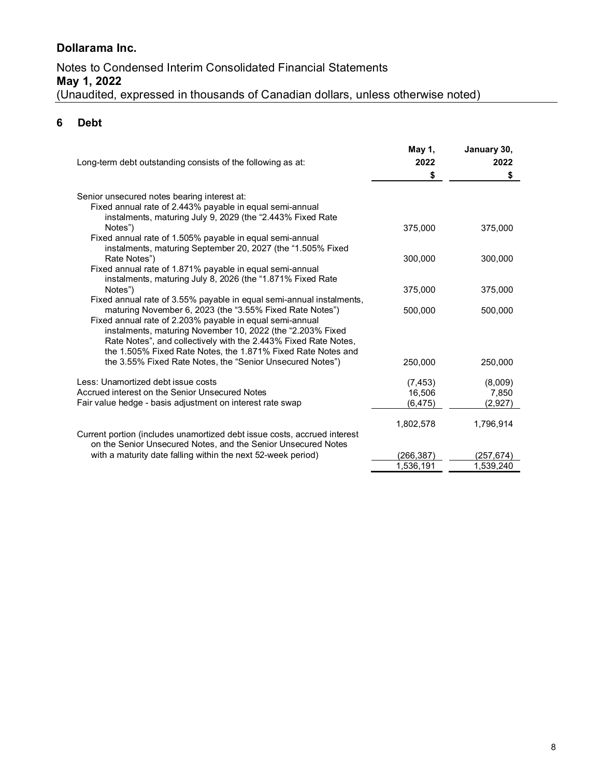### Notes to Condensed Interim Consolidated Financial Statements **May 1, 2022** (Unaudited, expressed in thousands of Canadian dollars, unless otherwise noted)

### **6 Debt**

| Long-term debt outstanding consists of the following as at:                                                                               | May 1,<br>2022 | January 30,<br>2022 |
|-------------------------------------------------------------------------------------------------------------------------------------------|----------------|---------------------|
|                                                                                                                                           | \$             | S.                  |
| Senior unsecured notes bearing interest at:                                                                                               |                |                     |
| Fixed annual rate of 2.443% payable in equal semi-annual<br>instalments, maturing July 9, 2029 (the "2.443% Fixed Rate                    |                |                     |
| Notes")                                                                                                                                   | 375,000        | 375,000             |
| Fixed annual rate of 1.505% payable in equal semi-annual<br>instalments, maturing September 20, 2027 (the "1.505% Fixed                   |                |                     |
| Rate Notes")<br>Fixed annual rate of 1.871% payable in equal semi-annual                                                                  | 300,000        | 300,000             |
| instalments, maturing July 8, 2026 (the "1.871% Fixed Rate                                                                                |                |                     |
| Notes")                                                                                                                                   | 375,000        | 375.000             |
| Fixed annual rate of 3.55% payable in equal semi-annual instalments,<br>maturing November 6, 2023 (the "3.55% Fixed Rate Notes")          |                | 500,000             |
| Fixed annual rate of 2.203% payable in equal semi-annual                                                                                  | 500,000        |                     |
| instalments, maturing November 10, 2022 (the "2.203% Fixed                                                                                |                |                     |
| Rate Notes", and collectively with the 2.443% Fixed Rate Notes,<br>the 1.505% Fixed Rate Notes, the 1.871% Fixed Rate Notes and           |                |                     |
| the 3.55% Fixed Rate Notes, the "Senior Unsecured Notes")                                                                                 | 250,000        | 250,000             |
|                                                                                                                                           |                |                     |
| Less: Unamortized debt issue costs                                                                                                        | (7, 453)       | (8,009)             |
| Accrued interest on the Senior Unsecured Notes                                                                                            | 16,506         | 7,850               |
| Fair value hedge - basis adjustment on interest rate swap                                                                                 | (6, 475)       | (2,927)             |
|                                                                                                                                           | 1,802,578      | 1,796,914           |
| Current portion (includes unamortized debt issue costs, accrued interest<br>on the Senior Unsecured Notes, and the Senior Unsecured Notes |                |                     |
| with a maturity date falling within the next 52-week period)                                                                              | (266, 387)     | (257,674)           |
|                                                                                                                                           | 1,536,191      | 1,539,240           |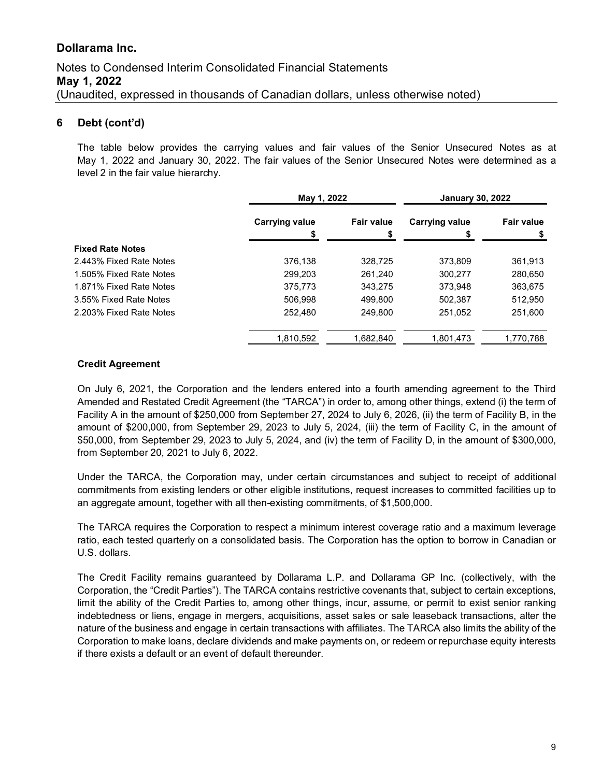### Notes to Condensed Interim Consolidated Financial Statements **May 1, 2022** (Unaudited, expressed in thousands of Canadian dollars, unless otherwise noted)

### **6 Debt (cont'd)**

The table below provides the carrying values and fair values of the Senior Unsecured Notes as at May 1, 2022 and January 30, 2022. The fair values of the Senior Unsecured Notes were determined as a level 2 in the fair value hierarchy.

|                         | May 1, 2022           |                   | <b>January 30, 2022</b> |                   |
|-------------------------|-----------------------|-------------------|-------------------------|-------------------|
|                         | <b>Carrying value</b> | <b>Fair value</b> | <b>Carrying value</b>   | <b>Fair value</b> |
|                         |                       |                   |                         |                   |
| <b>Fixed Rate Notes</b> |                       |                   |                         |                   |
| 2.443% Fixed Rate Notes | 376,138               | 328,725           | 373,809                 | 361,913           |
| 1.505% Fixed Rate Notes | 299.203               | 261.240           | 300,277                 | 280,650           |
| 1.871% Fixed Rate Notes | 375,773               | 343,275           | 373,948                 | 363,675           |
| 3.55% Fixed Rate Notes  | 506.998               | 499.800           | 502,387                 | 512,950           |
| 2.203% Fixed Rate Notes | 252.480               | 249.800           | 251,052                 | 251,600           |
|                         | 1.810.592             | 1.682.840         | 1,801,473               | 1.770.788         |

#### **Credit Agreement**

On July 6, 2021, the Corporation and the lenders entered into a fourth amending agreement to the Third Amended and Restated Credit Agreement (the "TARCA") in order to, among other things, extend (i) the term of Facility A in the amount of \$250,000 from September 27, 2024 to July 6, 2026, (ii) the term of Facility B, in the amount of \$200,000, from September 29, 2023 to July 5, 2024, (iii) the term of Facility C, in the amount of \$50,000, from September 29, 2023 to July 5, 2024, and (iv) the term of Facility D, in the amount of \$300,000, from September 20, 2021 to July 6, 2022.

Under the TARCA, the Corporation may, under certain circumstances and subject to receipt of additional commitments from existing lenders or other eligible institutions, request increases to committed facilities up to an aggregate amount, together with all then-existing commitments, of \$1,500,000.

The TARCA requires the Corporation to respect a minimum interest coverage ratio and a maximum leverage ratio, each tested quarterly on a consolidated basis. The Corporation has the option to borrow in Canadian or U.S. dollars.

The Credit Facility remains guaranteed by Dollarama L.P. and Dollarama GP Inc. (collectively, with the Corporation, the "Credit Parties"). The TARCA contains restrictive covenants that, subject to certain exceptions, limit the ability of the Credit Parties to, among other things, incur, assume, or permit to exist senior ranking indebtedness or liens, engage in mergers, acquisitions, asset sales or sale leaseback transactions, alter the nature of the business and engage in certain transactions with affiliates. The TARCA also limits the ability of the Corporation to make loans, declare dividends and make payments on, or redeem or repurchase equity interests if there exists a default or an event of default thereunder.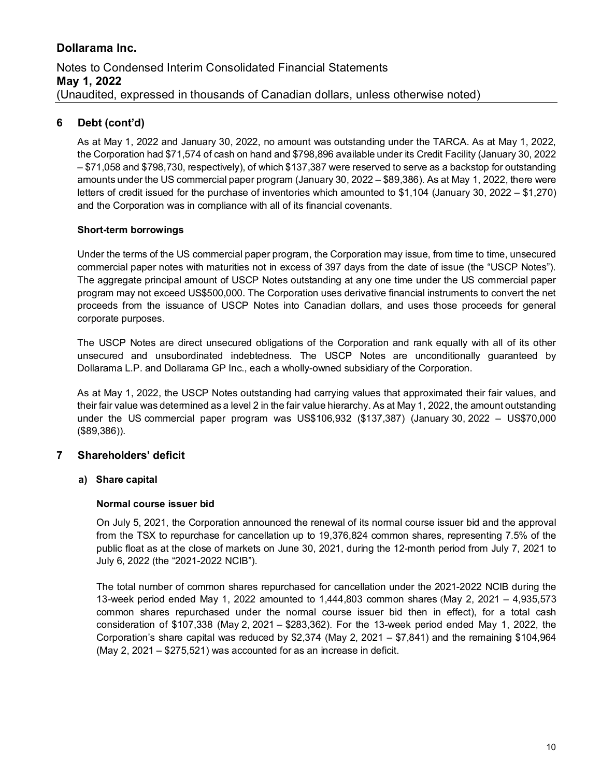### **6 Debt (cont'd)**

As at May 1, 2022 and January 30, 2022, no amount was outstanding under the TARCA. As at May 1, 2022, the Corporation had \$71,574 of cash on hand and \$798,896 available under its Credit Facility (January 30, 2022 – \$71,058 and \$798,730, respectively), of which \$137,387 were reserved to serve as a backstop for outstanding amounts under the US commercial paper program (January 30, 2022 – \$89,386). As at May 1, 2022, there were letters of credit issued for the purchase of inventories which amounted to \$1,104 (January 30, 2022 – \$1,270) and the Corporation was in compliance with all of its financial covenants.

### **Short-term borrowings**

Under the terms of the US commercial paper program, the Corporation may issue, from time to time, unsecured commercial paper notes with maturities not in excess of 397 days from the date of issue (the "USCP Notes"). The aggregate principal amount of USCP Notes outstanding at any one time under the US commercial paper program may not exceed US\$500,000. The Corporation uses derivative financial instruments to convert the net proceeds from the issuance of USCP Notes into Canadian dollars, and uses those proceeds for general corporate purposes.

The USCP Notes are direct unsecured obligations of the Corporation and rank equally with all of its other unsecured and unsubordinated indebtedness. The USCP Notes are unconditionally guaranteed by Dollarama L.P. and Dollarama GP Inc., each a wholly-owned subsidiary of the Corporation.

As at May 1, 2022, the USCP Notes outstanding had carrying values that approximated their fair values, and their fair value was determined as a level 2 in the fair value hierarchy. As at May 1, 2022, the amount outstanding under the US commercial paper program was US\$106,932 (\$137,387) (January 30, 2022 – US\$70,000 (\$89,386)).

### **7 Shareholders' deficit**

### **a) Share capital**

### **Normal course issuer bid**

On July 5, 2021, the Corporation announced the renewal of its normal course issuer bid and the approval from the TSX to repurchase for cancellation up to 19,376,824 common shares, representing 7.5% of the public float as at the close of markets on June 30, 2021, during the 12‑month period from July 7, 2021 to July 6, 2022 (the "2021-2022 NCIB").

The total number of common shares repurchased for cancellation under the 2021-2022 NCIB during the 13-week period ended May 1, 2022 amounted to 1,444,803 common shares (May 2, 2021 – 4,935,573 common shares repurchased under the normal course issuer bid then in effect), for a total cash consideration of \$107,338 (May 2, 2021 – \$283,362). For the 13-week period ended May 1, 2022, the Corporation's share capital was reduced by  $$2,374$  (May 2, 2021 –  $$7,841$ ) and the remaining  $$104,964$ (May 2, 2021 – \$275,521) was accounted for as an increase in deficit.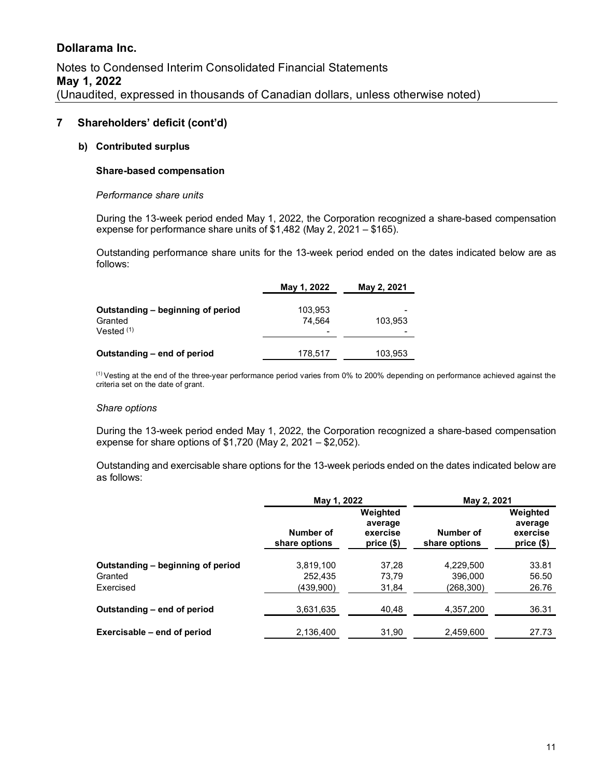### **7 Shareholders' deficit (cont'd)**

#### **b) Contributed surplus**

#### **Share-based compensation**

#### *Performance share units*

During the 13-week period ended May 1, 2022, the Corporation recognized a share-based compensation expense for performance share units of \$1,482 (May 2, 2021 – \$165).

Outstanding performance share units for the 13-week period ended on the dates indicated below are as follows:

|                                   | May 1, 2022              | May 2, 2021 |
|-----------------------------------|--------------------------|-------------|
| Outstanding – beginning of period | 103,953                  |             |
| Granted                           | 74.564                   | 103.953     |
| Vested $(1)$                      | $\overline{\phantom{0}}$ |             |
| Outstanding – end of period       | 178,517                  | 103,953     |

(1) Vesting at the end of the three-year performance period varies from 0% to 200% depending on performance achieved against the criteria set on the date of grant.

#### *Share options*

During the 13-week period ended May 1, 2022, the Corporation recognized a share-based compensation expense for share options of \$1,720 (May 2, 2021 – \$2,052).

Outstanding and exercisable share options for the 13-week periods ended on the dates indicated below are as follows:

|                                   | May 1, 2022                |                                               | May 2, 2021                |                                               |
|-----------------------------------|----------------------------|-----------------------------------------------|----------------------------|-----------------------------------------------|
|                                   | Number of<br>share options | Weighted<br>average<br>exercise<br>price (\$) | Number of<br>share options | Weighted<br>average<br>exercise<br>price (\$) |
| Outstanding - beginning of period | 3,819,100                  | 37,28                                         | 4.229.500                  | 33.81                                         |
| Granted                           | 252,435                    | 73,79                                         | 396,000                    | 56.50                                         |
| <b>Fxercised</b>                  | (439,900)                  | 31,84                                         | (268,300)                  | 26.76                                         |
| Outstanding - end of period       | 3,631,635                  | 40,48                                         | 4,357,200                  | 36.31                                         |
| Exercisable – end of period       | 2,136,400                  | 31,90                                         | 2,459,600                  | 27.73                                         |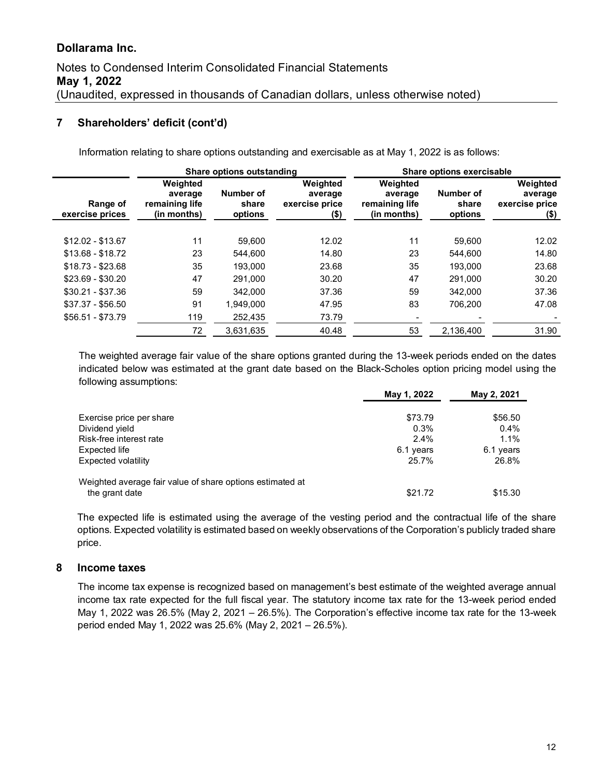# Notes to Condensed Interim Consolidated Financial Statements **May 1, 2022** (Unaudited, expressed in thousands of Canadian dollars, unless otherwise noted)

### **7 Shareholders' deficit (cont'd)**

Information relating to share options outstanding and exercisable as at May 1, 2022 is as follows:

|                             | Share options outstanding                            |                               |                                                  | Share options exercisable                            |                               |                                                |
|-----------------------------|------------------------------------------------------|-------------------------------|--------------------------------------------------|------------------------------------------------------|-------------------------------|------------------------------------------------|
| Range of<br>exercise prices | Weighted<br>average<br>remaining life<br>(in months) | Number of<br>share<br>options | Weighted<br>average<br>exercise price<br>$($ \$) | Weighted<br>average<br>remaining life<br>(in months) | Number of<br>share<br>options | Weighted<br>average<br>exercise price<br>$(5)$ |
| $$12.02 - $13.67$           | 11                                                   | 59.600                        | 12.02                                            | 11                                                   | 59.600                        | 12.02                                          |
| $$13.68 - $18.72$           | 23                                                   | 544.600                       | 14.80                                            | 23                                                   | 544,600                       | 14.80                                          |
| $$18.73 - $23.68$           | 35                                                   | 193.000                       | 23.68                                            | 35                                                   | 193.000                       | 23.68                                          |
| $$23.69 - $30.20$           | 47                                                   | 291.000                       | 30.20                                            | 47                                                   | 291.000                       | 30.20                                          |
| $$30.21 - $37.36$           | 59                                                   | 342.000                       | 37.36                                            | 59                                                   | 342.000                       | 37.36                                          |
| $$37.37 - $56.50$           | 91                                                   | 1.949.000                     | 47.95                                            | 83                                                   | 706.200                       | 47.08                                          |
| $$56.51 - $73.79$           | 119                                                  | 252.435                       | 73.79                                            |                                                      |                               |                                                |
|                             | 72                                                   | 3,631,635                     | 40.48                                            | 53                                                   | 2,136,400                     | 31.90                                          |

The weighted average fair value of the share options granted during the 13-week periods ended on the dates indicated below was estimated at the grant date based on the Black-Scholes option pricing model using the following assumptions:

|                                                           | May 1, 2022 | May 2, 2021 |
|-----------------------------------------------------------|-------------|-------------|
| Exercise price per share                                  | \$73.79     | \$56.50     |
| Dividend yield                                            | 0.3%        | 0.4%        |
| Risk-free interest rate                                   | 2.4%        | 1.1%        |
| Expected life                                             | 6.1 years   | 6.1 years   |
| Expected volatility                                       | 25.7%       | 26.8%       |
| Weighted average fair value of share options estimated at |             |             |
| the grant date                                            | \$21.72     | \$15.30     |

The expected life is estimated using the average of the vesting period and the contractual life of the share options. Expected volatility is estimated based on weekly observations of the Corporation's publicly traded share price.

### **8 Income taxes**

The income tax expense is recognized based on management's best estimate of the weighted average annual income tax rate expected for the full fiscal year. The statutory income tax rate for the 13-week period ended May 1, 2022 was 26.5% (May 2, 2021 – 26.5%). The Corporation's effective income tax rate for the 13-week period ended May 1, 2022 was 25.6% (May 2, 2021 – 26.5%).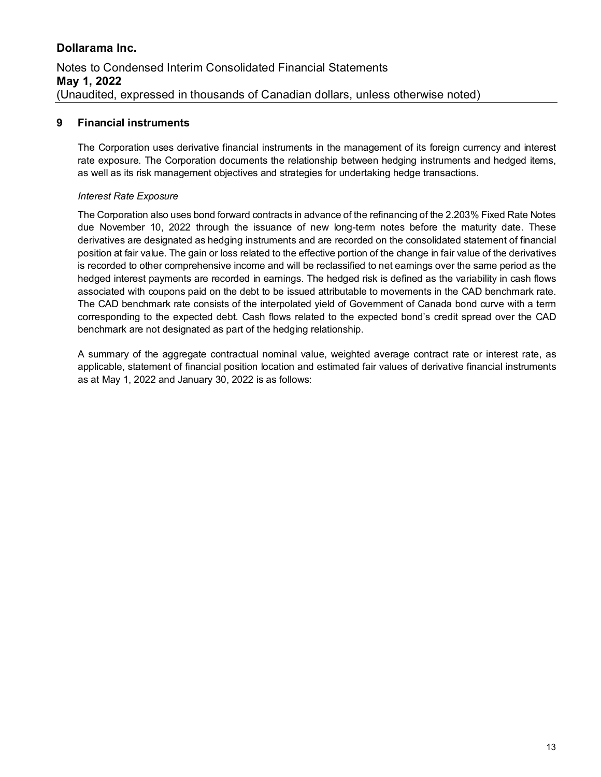### **9 Financial instruments**

The Corporation uses derivative financial instruments in the management of its foreign currency and interest rate exposure. The Corporation documents the relationship between hedging instruments and hedged items, as well as its risk management objectives and strategies for undertaking hedge transactions.

#### *Interest Rate Exposure*

The Corporation also uses bond forward contracts in advance of the refinancing of the 2.203% Fixed Rate Notes due November 10, 2022 through the issuance of new long-term notes before the maturity date. These derivatives are designated as hedging instruments and are recorded on the consolidated statement of financial position at fair value. The gain or loss related to the effective portion of the change in fair value of the derivatives is recorded to other comprehensive income and will be reclassified to net earnings over the same period as the hedged interest payments are recorded in earnings. The hedged risk is defined as the variability in cash flows associated with coupons paid on the debt to be issued attributable to movements in the CAD benchmark rate. The CAD benchmark rate consists of the interpolated yield of Government of Canada bond curve with a term corresponding to the expected debt. Cash flows related to the expected bond's credit spread over the CAD benchmark are not designated as part of the hedging relationship.

A summary of the aggregate contractual nominal value, weighted average contract rate or interest rate, as applicable, statement of financial position location and estimated fair values of derivative financial instruments as at May 1, 2022 and January 30, 2022 is as follows: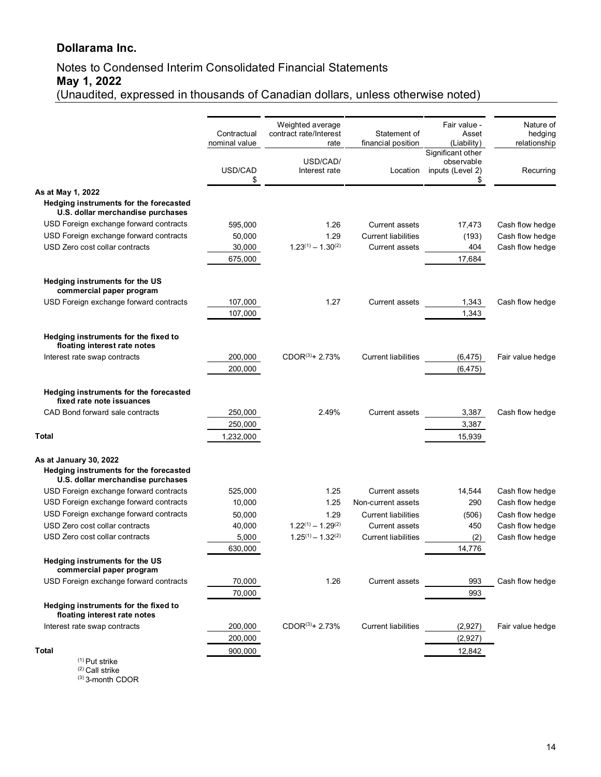### Notes to Condensed Interim Consolidated Financial Statements **May 1, 2022** (Unaudited, expressed in thousands of Canadian dollars, unless otherwise noted)

|                                                                             | Contractual<br>nominal value | Weighted average<br>contract rate/Interest<br>rate | Statement of<br>financial position                  | Fair value -<br>Asset<br>(Liability)                     | Nature of<br>hedging<br>relationship |
|-----------------------------------------------------------------------------|------------------------------|----------------------------------------------------|-----------------------------------------------------|----------------------------------------------------------|--------------------------------------|
|                                                                             | USD/CAD<br>\$                | USD/CAD/<br>Interest rate                          | Location                                            | Significant other<br>observable<br>inputs (Level 2)<br>S | Recurring                            |
| As at May 1, 2022                                                           |                              |                                                    |                                                     |                                                          |                                      |
| Hedging instruments for the forecasted<br>U.S. dollar merchandise purchases |                              |                                                    |                                                     |                                                          |                                      |
| USD Foreign exchange forward contracts                                      | 595,000                      | 1.26                                               | Current assets                                      | 17,473                                                   | Cash flow hedge                      |
| USD Foreign exchange forward contracts                                      | 50,000                       | 1.29                                               | <b>Current liabilities</b>                          | (193)                                                    | Cash flow hedge                      |
| USD Zero cost collar contracts                                              | 30,000                       | $1.23^{(1)} - 1.30^{(2)}$                          | <b>Current assets</b>                               | 404                                                      | Cash flow hedge                      |
|                                                                             | 675,000                      |                                                    |                                                     | 17,684                                                   |                                      |
| Hedging instruments for the US<br>commercial paper program                  |                              |                                                    |                                                     |                                                          |                                      |
| USD Foreign exchange forward contracts                                      | 107,000                      | 1.27                                               | <b>Current assets</b>                               | 1,343                                                    | Cash flow hedge                      |
|                                                                             | 107,000                      |                                                    |                                                     | 1,343                                                    |                                      |
| Hedging instruments for the fixed to<br>floating interest rate notes        |                              |                                                    |                                                     |                                                          |                                      |
| Interest rate swap contracts                                                | 200,000                      | CDOR(3)+ 2.73%                                     | <b>Current liabilities</b>                          | (6, 475)                                                 | Fair value hedge                     |
|                                                                             | 200,000                      |                                                    |                                                     | (6, 475)                                                 |                                      |
| Hedging instruments for the forecasted<br>fixed rate note issuances         |                              |                                                    |                                                     |                                                          |                                      |
| CAD Bond forward sale contracts                                             | 250,000                      | 2.49%                                              | <b>Current assets</b>                               | 3,387                                                    | Cash flow hedge                      |
|                                                                             | 250,000                      |                                                    |                                                     | 3,387                                                    |                                      |
| <b>Total</b>                                                                | 1,232,000                    |                                                    |                                                     | 15,939                                                   |                                      |
| As at January 30, 2022                                                      |                              |                                                    |                                                     |                                                          |                                      |
| Hedging instruments for the forecasted<br>U.S. dollar merchandise purchases |                              |                                                    |                                                     |                                                          |                                      |
| USD Foreign exchange forward contracts                                      | 525,000                      | 1.25                                               | <b>Current assets</b>                               | 14,544                                                   | Cash flow hedge                      |
| USD Foreign exchange forward contracts                                      | 10,000                       | 1.25                                               | Non-current assets                                  | 290                                                      | Cash flow hedge                      |
| USD Foreign exchange forward contracts                                      | 50,000                       | 1.29<br>$1.22^{(1)} - 1.29^{(2)}$                  | <b>Current liabilities</b>                          | (506)                                                    | Cash flow hedge                      |
| USD Zero cost collar contracts<br>USD Zero cost collar contracts            | 40,000<br>5,000              | $1.25^{(1)} - 1.32^{(2)}$                          | <b>Current assets</b><br><b>Current liabilities</b> | 450                                                      | Cash flow hedge<br>Cash flow hedge   |
|                                                                             | 630,000                      |                                                    |                                                     | (2)<br>14,776                                            |                                      |
| Hedging instruments for the US<br>commercial paper program                  |                              |                                                    |                                                     |                                                          |                                      |
| USD Foreign exchange forward contracts                                      | 70,000                       | 1.26                                               | <b>Current assets</b>                               | 993                                                      | Cash flow hedge                      |
|                                                                             | 70,000                       |                                                    |                                                     | 993                                                      |                                      |
| Hedging instruments for the fixed to<br>floating interest rate notes        |                              |                                                    |                                                     |                                                          |                                      |
| Interest rate swap contracts                                                | 200,000                      | CDOR(3)+ 2.73%                                     | <b>Current liabilities</b>                          | (2,927)                                                  | Fair value hedge                     |
|                                                                             | 200,000                      |                                                    |                                                     | (2,927)                                                  |                                      |
| Total                                                                       | 900,000                      |                                                    |                                                     | 12,842                                                   |                                      |
| $(1)$ Put strike                                                            |                              |                                                    |                                                     |                                                          |                                      |

(2) Call strike

(3) 3-month CDOR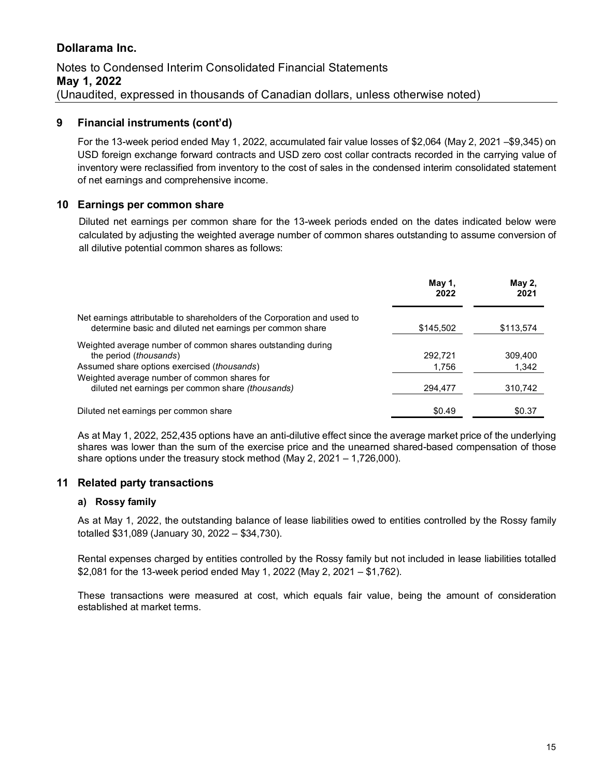### Notes to Condensed Interim Consolidated Financial Statements **May 1, 2022** (Unaudited, expressed in thousands of Canadian dollars, unless otherwise noted)

### **9 Financial instruments (cont'd)**

For the 13-week period ended May 1, 2022, accumulated fair value losses of \$2,064 (May 2, 2021 –\$9,345) on USD foreign exchange forward contracts and USD zero cost collar contracts recorded in the carrying value of inventory were reclassified from inventory to the cost of sales in the condensed interim consolidated statement of net earnings and comprehensive income.

### **10 Earnings per common share**

Diluted net earnings per common share for the 13-week periods ended on the dates indicated below were calculated by adjusting the weighted average number of common shares outstanding to assume conversion of all dilutive potential common shares as follows:

|                                                                                                                                       | May 1,<br>2022 | May 2,<br>2021 |
|---------------------------------------------------------------------------------------------------------------------------------------|----------------|----------------|
| Net earnings attributable to shareholders of the Corporation and used to<br>determine basic and diluted net earnings per common share | \$145,502      | \$113,574      |
| Weighted average number of common shares outstanding during<br>the period ( <i>thousands</i> )                                        | 292.721        | 309.400        |
| Assumed share options exercised (thousands)                                                                                           | 1,756          | 1,342          |
| Weighted average number of common shares for<br>diluted net earnings per common share <i>(thousands)</i>                              | 294.477        | 310,742        |
| Diluted net earnings per common share                                                                                                 | \$0.49         | \$0.37         |

As at May 1, 2022, 252,435 options have an anti-dilutive effect since the average market price of the underlying shares was lower than the sum of the exercise price and the unearned shared-based compensation of those share options under the treasury stock method (May 2, 2021 – 1,726,000).

#### **11 Related party transactions**

#### **a) Rossy family**

As at May 1, 2022, the outstanding balance of lease liabilities owed to entities controlled by the Rossy family totalled \$31,089 (January 30, 2022 – \$34,730).

Rental expenses charged by entities controlled by the Rossy family but not included in lease liabilities totalled \$2,081 for the 13-week period ended May 1, 2022 (May 2, 2021 – \$1,762).

These transactions were measured at cost, which equals fair value, being the amount of consideration established at market terms.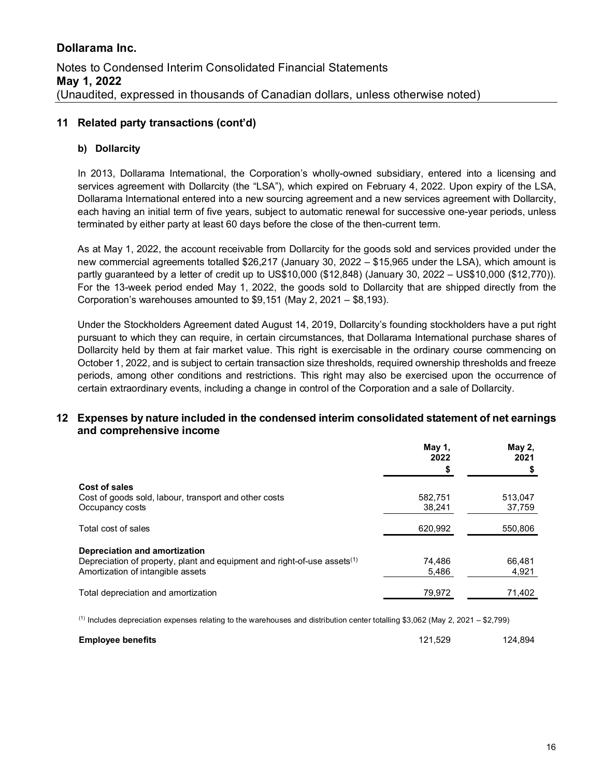### **11 Related party transactions (cont'd)**

#### **b) Dollarcity**

In 2013, Dollarama International, the Corporation's wholly-owned subsidiary, entered into a licensing and services agreement with Dollarcity (the "LSA"), which expired on February 4, 2022. Upon expiry of the LSA, Dollarama International entered into a new sourcing agreement and a new services agreement with Dollarcity, each having an initial term of five years, subject to automatic renewal for successive one-year periods, unless terminated by either party at least 60 days before the close of the then-current term.

As at May 1, 2022, the account receivable from Dollarcity for the goods sold and services provided under the new commercial agreements totalled \$26,217 (January 30, 2022 – \$15,965 under the LSA), which amount is partly guaranteed by a letter of credit up to US\$10,000 (\$12,848) (January 30, 2022 – US\$10,000 (\$12,770)). For the 13-week period ended May 1, 2022, the goods sold to Dollarcity that are shipped directly from the Corporation's warehouses amounted to \$9,151 (May 2, 2021 – \$8,193).

Under the Stockholders Agreement dated August 14, 2019, Dollarcity's founding stockholders have a put right pursuant to which they can require, in certain circumstances, that Dollarama International purchase shares of Dollarcity held by them at fair market value. This right is exercisable in the ordinary course commencing on October 1, 2022, and is subject to certain transaction size thresholds, required ownership thresholds and freeze periods, among other conditions and restrictions. This right may also be exercised upon the occurrence of certain extraordinary events, including a change in control of the Corporation and a sale of Dollarcity.

#### **12 Expenses by nature included in the condensed interim consolidated statement of net earnings and comprehensive income**

|                                                                                      | May 1,<br>2022 | May 2,<br>2021 |
|--------------------------------------------------------------------------------------|----------------|----------------|
|                                                                                      |                |                |
| Cost of sales                                                                        |                |                |
| Cost of goods sold, labour, transport and other costs                                | 582.751        | 513.047        |
| Occupancy costs                                                                      | 38.241         | 37,759         |
| Total cost of sales                                                                  | 620,992        | 550,806        |
| Depreciation and amortization                                                        |                |                |
| Depreciation of property, plant and equipment and right-of-use assets <sup>(1)</sup> | 74.486         | 66.481         |
| Amortization of intangible assets                                                    | 5,486          | 4,921          |
| Total depreciation and amortization                                                  | 79.972         | 71,402         |

(1) Includes depreciation expenses relating to the warehouses and distribution center totalling \$3,062 (May 2, 2021 – \$2,799)

| <b>Employee benefits</b> | 121.529 | 124,894 |
|--------------------------|---------|---------|
|                          |         |         |